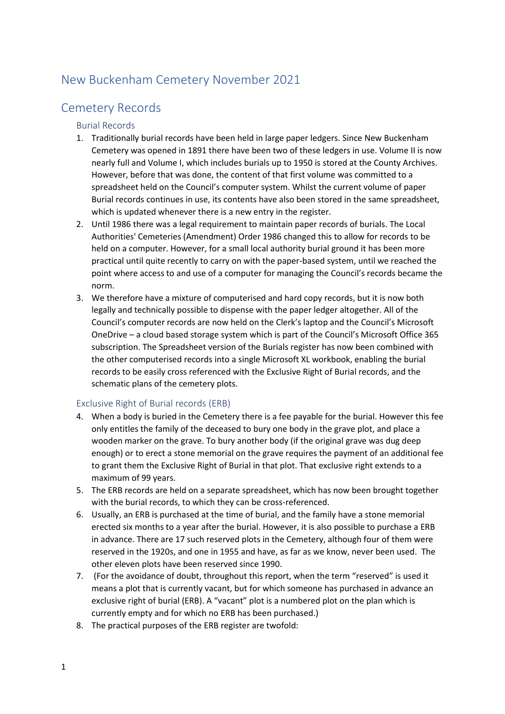# New Buckenham Cemetery November 2021

# Cemetery Records

#### Burial Records

- 1. Traditionally burial records have been held in large paper ledgers. Since New Buckenham Cemetery was opened in 1891 there have been two of these ledgers in use. Volume II is now nearly full and Volume I, which includes burials up to 1950 is stored at the County Archives. However, before that was done, the content of that first volume was committed to a spreadsheet held on the Council's computer system. Whilst the current volume of paper Burial records continues in use, its contents have also been stored in the same spreadsheet, which is updated whenever there is a new entry in the register.
- 2. Until 1986 there was a legal requirement to maintain paper records of burials. The Local Authorities' Cemeteries (Amendment) Order 1986 changed this to allow for records to be held on a computer. However, for a small local authority burial ground it has been more practical until quite recently to carry on with the paper-based system, until we reached the point where access to and use of a computer for managing the Council's records became the norm.
- 3. We therefore have a mixture of computerised and hard copy records, but it is now both legally and technically possible to dispense with the paper ledger altogether. All of the Council's computer records are now held on the Clerk's laptop and the Council's Microsoft OneDrive – a cloud based storage system which is part of the Council's Microsoft Office 365 subscription. The Spreadsheet version of the Burials register has now been combined with the other computerised records into a single Microsoft XL workbook, enabling the burial records to be easily cross referenced with the Exclusive Right of Burial records, and the schematic plans of the cemetery plots.

### Exclusive Right of Burial records (ERB)

- 4. When a body is buried in the Cemetery there is a fee payable for the burial. However this fee only entitles the family of the deceased to bury one body in the grave plot, and place a wooden marker on the grave. To bury another body (if the original grave was dug deep enough) or to erect a stone memorial on the grave requires the payment of an additional fee to grant them the Exclusive Right of Burial in that plot. That exclusive right extends to a maximum of 99 years.
- 5. The ERB records are held on a separate spreadsheet, which has now been brought together with the burial records, to which they can be cross-referenced.
- 6. Usually, an ERB is purchased at the time of burial, and the family have a stone memorial erected six months to a year after the burial. However, it is also possible to purchase a ERB in advance. There are 17 such reserved plots in the Cemetery, although four of them were reserved in the 1920s, and one in 1955 and have, as far as we know, never been used. The other eleven plots have been reserved since 1990.
- 7. (For the avoidance of doubt, throughout this report, when the term "reserved" is used it means a plot that is currently vacant, but for which someone has purchased in advance an exclusive right of burial (ERB). A "vacant" plot is a numbered plot on the plan which is currently empty and for which no ERB has been purchased.)
- 8. The practical purposes of the ERB register are twofold: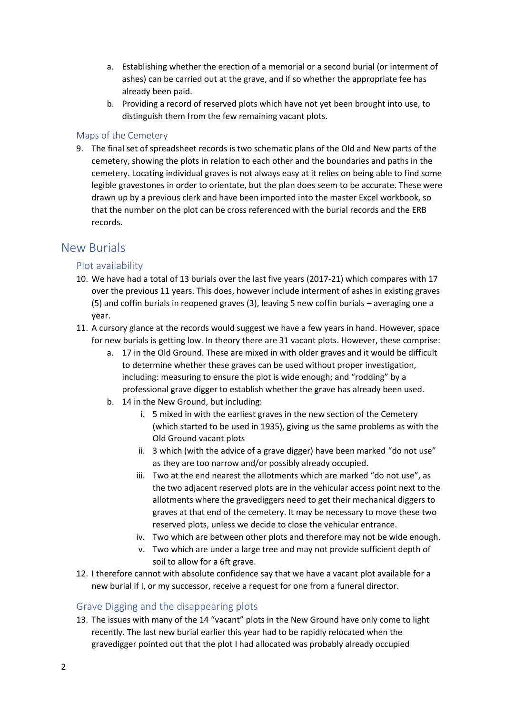- a. Establishing whether the erection of a memorial or a second burial (or interment of ashes) can be carried out at the grave, and if so whether the appropriate fee has already been paid.
- b. Providing a record of reserved plots which have not yet been brought into use, to distinguish them from the few remaining vacant plots.

#### Maps of the Cemetery

9. The final set of spreadsheet records is two schematic plans of the Old and New parts of the cemetery, showing the plots in relation to each other and the boundaries and paths in the cemetery. Locating individual graves is not always easy at it relies on being able to find some legible gravestones in order to orientate, but the plan does seem to be accurate. These were drawn up by a previous clerk and have been imported into the master Excel workbook, so that the number on the plot can be cross referenced with the burial records and the ERB records.

## New Burials

### Plot availability

- 10. We have had a total of 13 burials over the last five years (2017-21) which compares with 17 over the previous 11 years. This does, however include interment of ashes in existing graves (5) and coffin burials in reopened graves (3), leaving 5 new coffin burials – averaging one a year.
- 11. A cursory glance at the records would suggest we have a few years in hand. However, space for new burials is getting low. In theory there are 31 vacant plots. However, these comprise:
	- a. 17 in the Old Ground. These are mixed in with older graves and it would be difficult to determine whether these graves can be used without proper investigation, including: measuring to ensure the plot is wide enough; and "rodding" by a professional grave digger to establish whether the grave has already been used.
	- b. 14 in the New Ground, but including:
		- i. 5 mixed in with the earliest graves in the new section of the Cemetery (which started to be used in 1935), giving us the same problems as with the Old Ground vacant plots
		- ii. 3 which (with the advice of a grave digger) have been marked "do not use" as they are too narrow and/or possibly already occupied.
		- iii. Two at the end nearest the allotments which are marked "do not use", as the two adjacent reserved plots are in the vehicular access point next to the allotments where the gravediggers need to get their mechanical diggers to graves at that end of the cemetery. It may be necessary to move these two reserved plots, unless we decide to close the vehicular entrance.
		- iv. Two which are between other plots and therefore may not be wide enough.
		- v. Two which are under a large tree and may not provide sufficient depth of soil to allow for a 6ft grave.
- 12. I therefore cannot with absolute confidence say that we have a vacant plot available for a new burial if I, or my successor, receive a request for one from a funeral director.

#### Grave Digging and the disappearing plots

13. The issues with many of the 14 "vacant" plots in the New Ground have only come to light recently. The last new burial earlier this year had to be rapidly relocated when the gravedigger pointed out that the plot I had allocated was probably already occupied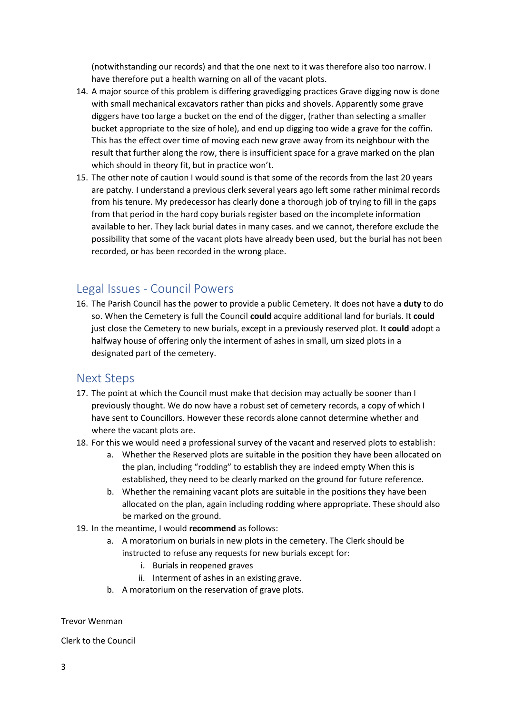(notwithstanding our records) and that the one next to it was therefore also too narrow. I have therefore put a health warning on all of the vacant plots.

- 14. A major source of this problem is differing gravedigging practices Grave digging now is done with small mechanical excavators rather than picks and shovels. Apparently some grave diggers have too large a bucket on the end of the digger, (rather than selecting a smaller bucket appropriate to the size of hole), and end up digging too wide a grave for the coffin. This has the effect over time of moving each new grave away from its neighbour with the result that further along the row, there is insufficient space for a grave marked on the plan which should in theory fit, but in practice won't.
- 15. The other note of caution I would sound is that some of the records from the last 20 years are patchy. I understand a previous clerk several years ago left some rather minimal records from his tenure. My predecessor has clearly done a thorough job of trying to fill in the gaps from that period in the hard copy burials register based on the incomplete information available to her. They lack burial dates in many cases. and we cannot, therefore exclude the possibility that some of the vacant plots have already been used, but the burial has not been recorded, or has been recorded in the wrong place.

## Legal Issues - Council Powers

16. The Parish Council has the power to provide a public Cemetery. It does not have a **duty** to do so. When the Cemetery is full the Council **could** acquire additional land for burials. It **could** just close the Cemetery to new burials, except in a previously reserved plot. It **could** adopt a halfway house of offering only the interment of ashes in small, urn sized plots in a designated part of the cemetery.

## Next Steps

- 17. The point at which the Council must make that decision may actually be sooner than I previously thought. We do now have a robust set of cemetery records, a copy of which I have sent to Councillors. However these records alone cannot determine whether and where the vacant plots are.
- 18. For this we would need a professional survey of the vacant and reserved plots to establish:
	- a. Whether the Reserved plots are suitable in the position they have been allocated on the plan, including "rodding" to establish they are indeed empty When this is established, they need to be clearly marked on the ground for future reference.
	- b. Whether the remaining vacant plots are suitable in the positions they have been allocated on the plan, again including rodding where appropriate. These should also be marked on the ground.
- 19. In the meantime, I would **recommend** as follows:
	- a. A moratorium on burials in new plots in the cemetery. The Clerk should be instructed to refuse any requests for new burials except for:
		- i. Burials in reopened graves
		- ii. Interment of ashes in an existing grave.
	- b. A moratorium on the reservation of grave plots.

#### Trevor Wenman

Clerk to the Council